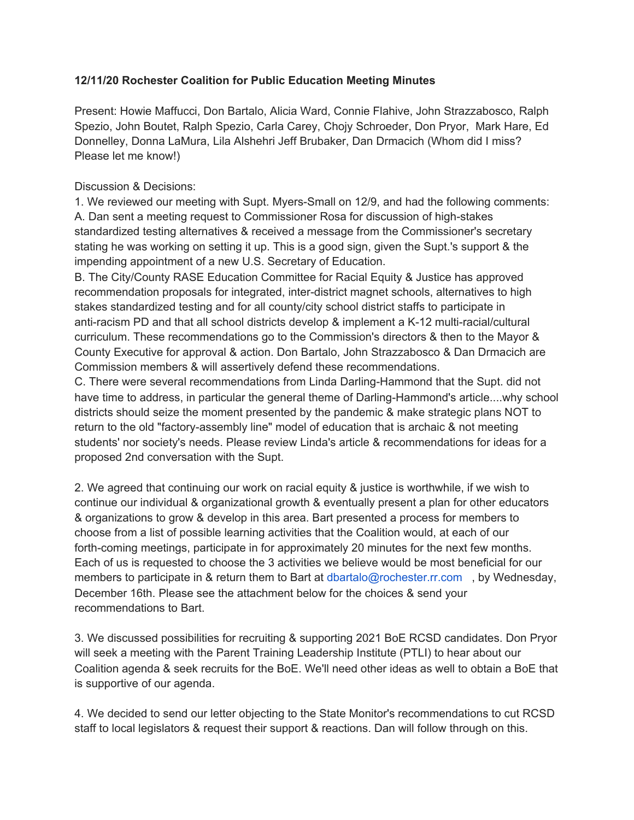## **12/11/20 Rochester Coalition for Public Education Meeting Minutes**

Present: Howie Maffucci, Don Bartalo, Alicia Ward, Connie Flahive, John Strazzabosco, Ralph Spezio, John Boutet, Ralph Spezio, Carla Carey, Chojy Schroeder, Don Pryor, Mark Hare, Ed Donnelley, Donna LaMura, Lila Alshehri Jeff Brubaker, Dan Drmacich (Whom did I miss? Please let me know!)

## Discussion & Decisions:

1. We reviewed our meeting with Supt. Myers-Small on 12/9, and had the following comments: A. Dan sent a meeting request to Commissioner Rosa for discussion of high-stakes standardized testing alternatives & received a message from the Commissioner's secretary stating he was working on setting it up. This is a good sign, given the Supt.'s support & the impending appointment of a new U.S. Secretary of Education.

B. The City/County RASE Education Committee for Racial Equity & Justice has approved recommendation proposals for integrated, inter-district magnet schools, alternatives to high stakes standardized testing and for all county/city school district staffs to participate in anti-racism PD and that all school districts develop & implement a K-12 multi-racial/cultural curriculum. These recommendations go to the Commission's directors & then to the Mayor & County Executive for approval & action. Don Bartalo, John Strazzabosco & Dan Drmacich are Commission members & will assertively defend these recommendations.

C. There were several recommendations from Linda Darling-Hammond that the Supt. did not have time to address, in particular the general theme of Darling-Hammond's article....why school districts should seize the moment presented by the pandemic & make strategic plans NOT to return to the old "factory-assembly line" model of education that is archaic & not meeting students' nor society's needs. Please review Linda's article & recommendations for ideas for a proposed 2nd conversation with the Supt.

2. We agreed that continuing our work on racial equity & justice is worthwhile, if we wish to continue our individual & organizational growth & eventually present a plan for other educators & organizations to grow & develop in this area. Bart presented a process for members to choose from a list of possible learning activities that the Coalition would, at each of our forth-coming meetings, participate in for approximately 20 minutes for the next few months. Each of us is requested to choose the 3 activities we believe would be most beneficial for our members to participate in & return them to Bart at dbartalo@rochester.rr.com , by Wednesday, December 16th. Please see the attachment below for the choices & send your recommendations to Bart.

3. We discussed possibilities for recruiting & supporting 2021 BoE RCSD candidates. Don Pryor will seek a meeting with the Parent Training Leadership Institute (PTLI) to hear about our Coalition agenda & seek recruits for the BoE. We'll need other ideas as well to obtain a BoE that is supportive of our agenda.

4. We decided to send our letter objecting to the State Monitor's recommendations to cut RCSD staff to local legislators & request their support & reactions. Dan will follow through on this.